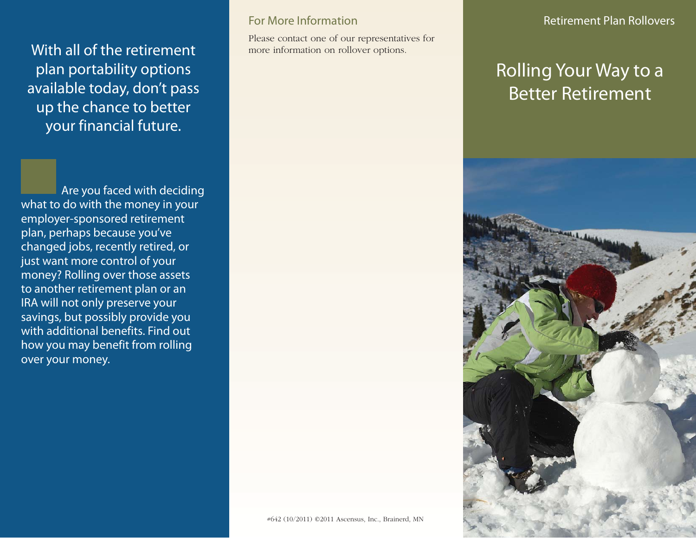With all of the retirement plan portability options available today, don't pass up the chance to better your financial future.

Are you faced with deciding what to do with the money in your employer-sponsored retirement plan, perhaps because you've changed jobs, recently retired, or just want more control of your money? Rolling over those assets to another retirement plan or an IRA will not only preserve your savings, but possibly provide you with additional benefits. Find out how you may benefit from rolling over your money.

## For More Information

Please contact one of our representatives for more information on rollover options.

## Rolling Your Way to a Better Retirement